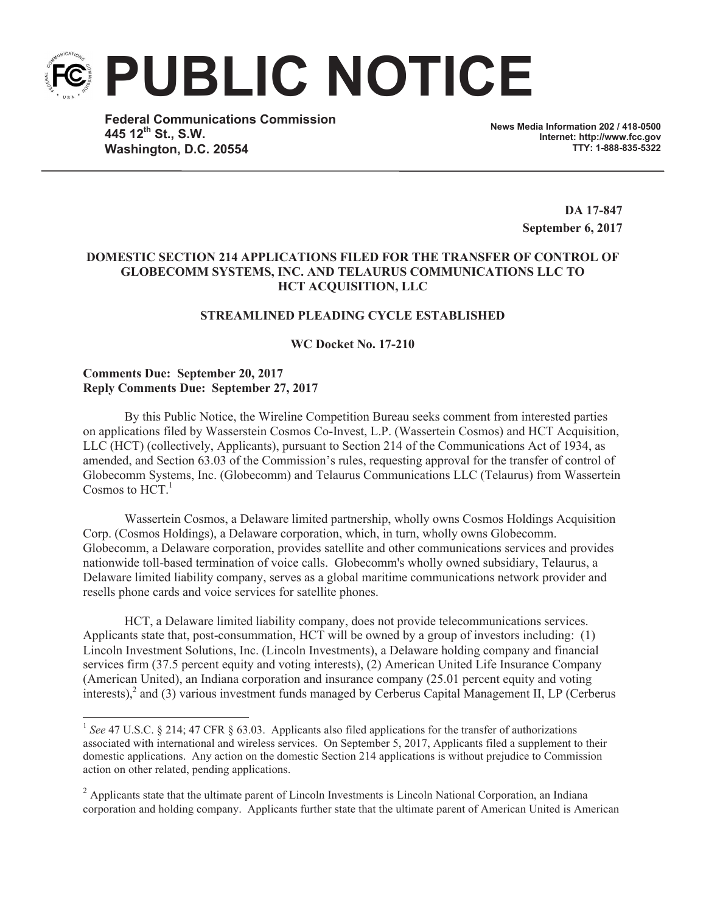**PUBLIC NOTICE**

**Federal Communications Commission 445 12th St., S.W. Washington, D.C. 20554**

**News Media Information 202 / 418-0500 Internet: http://www.fcc.gov TTY: 1-888-835-5322**

> **DA 17-847 September 6, 2017**

# **DOMESTIC SECTION 214 APPLICATIONS FILED FOR THE TRANSFER OF CONTROL OF GLOBECOMM SYSTEMS, INC. AND TELAURUS COMMUNICATIONS LLC TO HCT ACQUISITION, LLC**

# **STREAMLINED PLEADING CYCLE ESTABLISHED**

**WC Docket No. 17-210**

### **Comments Due: September 20, 2017 Reply Comments Due: September 27, 2017**

By this Public Notice, the Wireline Competition Bureau seeks comment from interested parties on applications filed by Wasserstein Cosmos Co-Invest, L.P. (Wassertein Cosmos) and HCT Acquisition, LLC (HCT) (collectively, Applicants), pursuant to Section 214 of the Communications Act of 1934, as amended, and Section 63.03 of the Commission's rules, requesting approval for the transfer of control of Globecomm Systems, Inc. (Globecomm) and Telaurus Communications LLC (Telaurus) from Wassertein Cosmos to  $HCT<sup>1</sup>$ 

Wassertein Cosmos, a Delaware limited partnership, wholly owns Cosmos Holdings Acquisition Corp. (Cosmos Holdings), a Delaware corporation, which, in turn, wholly owns Globecomm. Globecomm, a Delaware corporation, provides satellite and other communications services and provides nationwide toll-based termination of voice calls. Globecomm's wholly owned subsidiary, Telaurus, a Delaware limited liability company, serves as a global maritime communications network provider and resells phone cards and voice services for satellite phones.

HCT, a Delaware limited liability company, does not provide telecommunications services. Applicants state that, post-consummation, HCT will be owned by a group of investors including: (1) Lincoln Investment Solutions, Inc. (Lincoln Investments), a Delaware holding company and financial services firm (37.5 percent equity and voting interests), (2) American United Life Insurance Company (American United), an Indiana corporation and insurance company (25.01 percent equity and voting interests), $^2$  and (3) various investment funds managed by Cerberus Capital Management II, LP (Cerberus

<sup>&</sup>lt;sup>1</sup> See 47 U.S.C. § 214; 47 CFR § 63.03. Applicants also filed applications for the transfer of authorizations associated with international and wireless services. On September 5, 2017, Applicants filed a supplement to their domestic applications. Any action on the domestic Section 214 applications is without prejudice to Commission action on other related, pending applications.

<sup>&</sup>lt;sup>2</sup> Applicants state that the ultimate parent of Lincoln Investments is Lincoln National Corporation, an Indiana corporation and holding company. Applicants further state that the ultimate parent of American United is American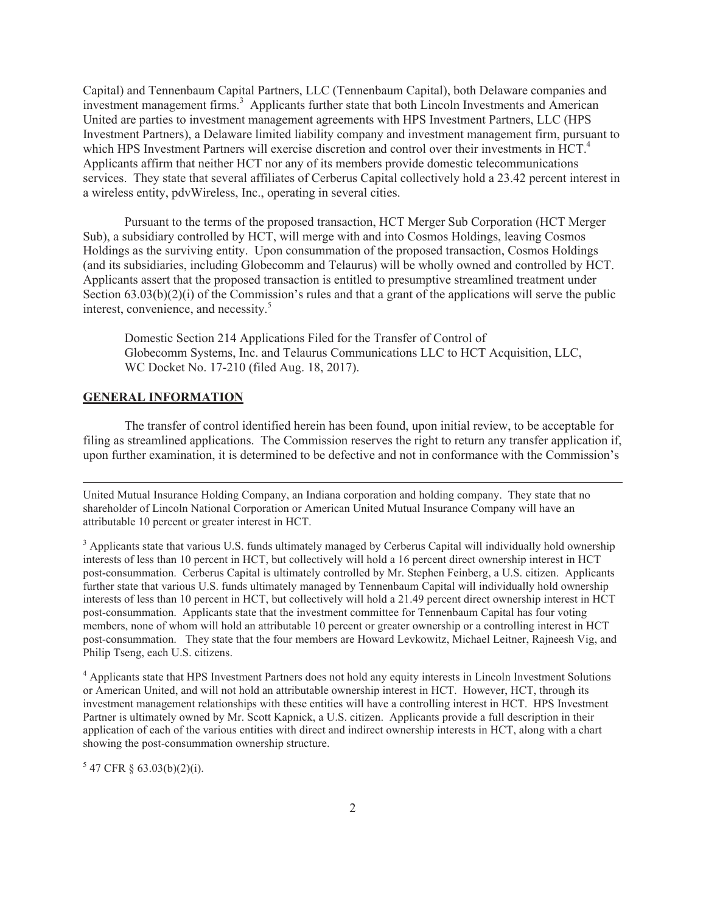Capital) and Tennenbaum Capital Partners, LLC (Tennenbaum Capital), both Delaware companies and investment management firms.<sup>3</sup> Applicants further state that both Lincoln Investments and American United are parties to investment management agreements with HPS Investment Partners, LLC (HPS Investment Partners), a Delaware limited liability company and investment management firm, pursuant to which HPS Investment Partners will exercise discretion and control over their investments in HCT.<sup>4</sup> Applicants affirm that neither HCT nor any of its members provide domestic telecommunications services. They state that several affiliates of Cerberus Capital collectively hold a 23.42 percent interest in a wireless entity, pdvWireless, Inc., operating in several cities.

Pursuant to the terms of the proposed transaction, HCT Merger Sub Corporation (HCT Merger Sub), a subsidiary controlled by HCT, will merge with and into Cosmos Holdings, leaving Cosmos Holdings as the surviving entity. Upon consummation of the proposed transaction, Cosmos Holdings (and its subsidiaries, including Globecomm and Telaurus) will be wholly owned and controlled by HCT. Applicants assert that the proposed transaction is entitled to presumptive streamlined treatment under Section  $63.03(b)(2)(i)$  of the Commission's rules and that a grant of the applications will serve the public interest, convenience, and necessity. 5

Domestic Section 214 Applications Filed for the Transfer of Control of Globecomm Systems, Inc. and Telaurus Communications LLC to HCT Acquisition, LLC, WC Docket No. 17-210 (filed Aug. 18, 2017).

### **GENERAL INFORMATION**

The transfer of control identified herein has been found, upon initial review, to be acceptable for filing as streamlined applications. The Commission reserves the right to return any transfer application if, upon further examination, it is determined to be defective and not in conformance with the Commission's

United Mutual Insurance Holding Company, an Indiana corporation and holding company. They state that no shareholder of Lincoln National Corporation or American United Mutual Insurance Company will have an attributable 10 percent or greater interest in HCT.

<sup>3</sup> Applicants state that various U.S. funds ultimately managed by Cerberus Capital will individually hold ownership interests of less than 10 percent in HCT, but collectively will hold a 16 percent direct ownership interest in HCT post-consummation. Cerberus Capital is ultimately controlled by Mr. Stephen Feinberg, a U.S. citizen. Applicants further state that various U.S. funds ultimately managed by Tennenbaum Capital will individually hold ownership interests of less than 10 percent in HCT, but collectively will hold a 21.49 percent direct ownership interest in HCT post-consummation. Applicants state that the investment committee for Tennenbaum Capital has four voting members, none of whom will hold an attributable 10 percent or greater ownership or a controlling interest in HCT post-consummation. They state that the four members are Howard Levkowitz, Michael Leitner, Rajneesh Vig, and Philip Tseng, each U.S. citizens.

<sup>4</sup> Applicants state that HPS Investment Partners does not hold any equity interests in Lincoln Investment Solutions or American United, and will not hold an attributable ownership interest in HCT. However, HCT, through its investment management relationships with these entities will have a controlling interest in HCT. HPS Investment Partner is ultimately owned by Mr. Scott Kapnick, a U.S. citizen. Applicants provide a full description in their application of each of the various entities with direct and indirect ownership interests in HCT, along with a chart showing the post-consummation ownership structure.

 $5$  47 CFR § 63.03(b)(2)(i).